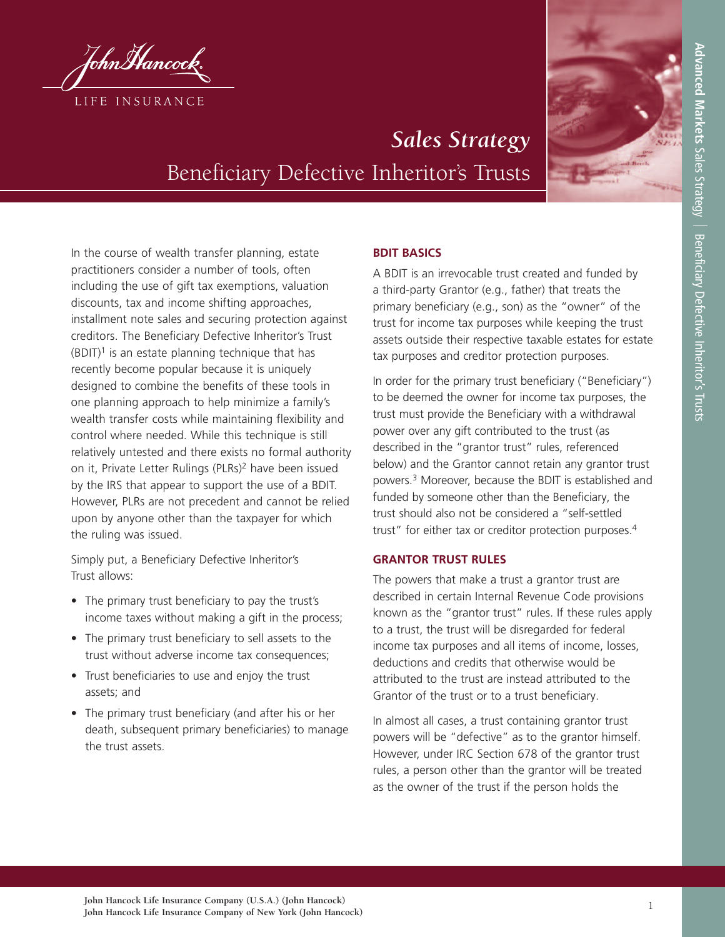



# *Sales Strategy* Beneficiary Defective Inheritor's Trusts

In the course of wealth transfer planning, estate practitioners consider a number of tools, often including the use of gift tax exemptions, valuation discounts, tax and income shifting approaches, installment note sales and securing protection against creditors. The Beneficiary Defective Inheritor's Trust  $(B$ DIT)<sup>1</sup> is an estate planning technique that has recently become popular because it is uniquely designed to combine the benefits of these tools in one planning approach to help minimize a family's wealth transfer costs while maintaining flexibility and control where needed. While this technique is still relatively untested and there exists no formal authority on it, Private Letter Rulings (PLRs) <sup>2</sup> have been issued by the IRS that appear to support the use of a BDIT. However, PLRs are not precedent and cannot be relied upon by anyone other than the taxpayer for which the ruling was issued.

Simply put, a Beneficiary Defective Inheritor's Trust allows:

- The primary trust beneficiary to pay the trust's income taxes without making a gift in the process;
- The primary trust beneficiary to sell assets to the trust without adverse income tax consequences;
- Trust beneficiaries to use and enjoy the trust assets; and
- The primary trust beneficiary (and after his or her death, subsequent primary beneficiaries) to manage the trust assets.

# **BDIT BASICS**

A BDIT is an irrevocable trust created and funded by a third-party Grantor (e.g., father) that treats the primary beneficiary (e.g., son) as the "owner" of the trust for income tax purposes while keeping the trust assets outside their respective taxable estates for estate tax purposes and creditor protection purposes.

In order for the primary trust beneficiary ("Beneficiary") to be deemed the owner for income tax purposes, the trust must provide the Beneficiary with a withdrawal power over any gift contributed to the trust (as described in the "grantor trust" rules, referenced below) and the Grantor cannot retain any grantor trust powers. <sup>3</sup> Moreover, because the BDIT is established and funded by someone other than the Beneficiary, the trust should also not be considered a "self-settled trust" for either tax or creditor protection purposes. 4

## **GRANTOR TRUST RULES**

The powers that make a trust a grantor trust are described in certain Internal Revenue Code provisions known as the "grantor trust" rules. If these rules apply to a trust, the trust will be disregarded for federal income tax purposes and all items of income, losses, deductions and credits that otherwise would be attributed to the trust are instead attributed to the Grantor of the trust or to a trust beneficiary.

In almost all cases, a trust containing grantor trust powers will be "defective" as to the grantor himself. However, under IRC Section 678 of the grantor trust rules, a person other than the grantor will be treated as the owner of the trust if the person holds the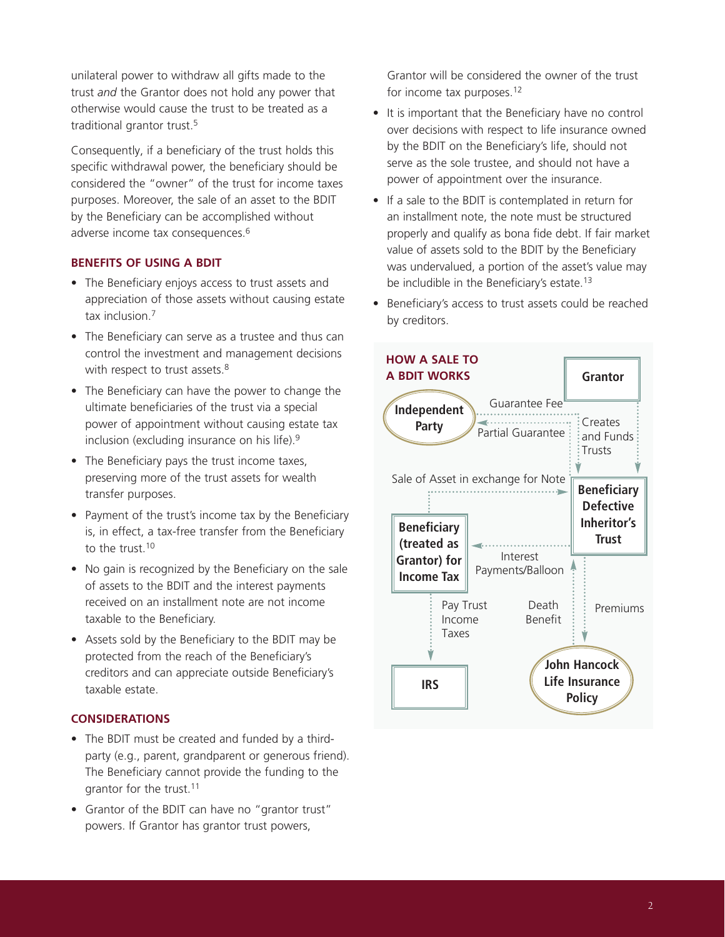unilateral power to withdraw all gifts made to the trust *and* the Grantor does not hold any power that otherwise would cause the trust to be treated as a traditional grantor trust. 5

Consequently, if a beneficiary of the trust holds this specific withdrawal power, the beneficiary should be considered the "owner" of the trust for income taxes purposes. Moreover, the sale of an asset to the BDIT by the Beneficiary can be accomplished without adverse income tax consequences. 6

## **BENEFITS OF USING A BDIT**

- The Beneficiary enjoys access to trust assets and appreciation of those assets without causing estate tax inclusion. 7
- The Beneficiary can serve as a trustee and thus can control the investment and management decisions with respect to trust assets.<sup>8</sup>
- The Beneficiary can have the power to change the ultimate beneficiaries of the trust via a special power of appointment without causing estate tax inclusion (excluding insurance on his life). 9
- The Beneficiary pays the trust income taxes, preserving more of the trust assets for wealth transfer purposes.
- Payment of the trust's income tax by the Beneficiary is, in effect, a tax-free transfer from the Beneficiary to the trust.<sup>10</sup>
- No gain is recognized by the Beneficiary on the sale of assets to the BDIT and the interest payments received on an installment note are not income taxable to the Beneficiary.
- Assets sold by the Beneficiary to the BDIT may be protected from the reach of the Beneficiary's creditors and can appreciate outside Beneficiary's taxable estate.

### **CONSIDERATIONS**

- The BDIT must be created and funded by a thirdparty (e.g., parent, grandparent or generous friend). The Beneficiary cannot provide the funding to the grantor for the trust. 11
- Grantor of the BDIT can have no "grantor trust" powers. If Grantor has grantor trust powers,

Grantor will be considered the owner of the trust for income tax purposes.<sup>12</sup>

- It is important that the Beneficiary have no control over decisions with respect to life insurance owned by the BDIT on the Beneficiary's life, should not serve as the sole trustee, and should not have a power of appointment over the insurance.
- If a sale to the BDIT is contemplated in return for an installment note, the note must be structured properly and qualify as bona fide debt. If fair market value of assets sold to the BDIT by the Beneficiary was undervalued, a portion of the asset's value may be includible in the Beneficiary's estate.<sup>13</sup>
- Beneficiary's access to trust assets could be reached by creditors.

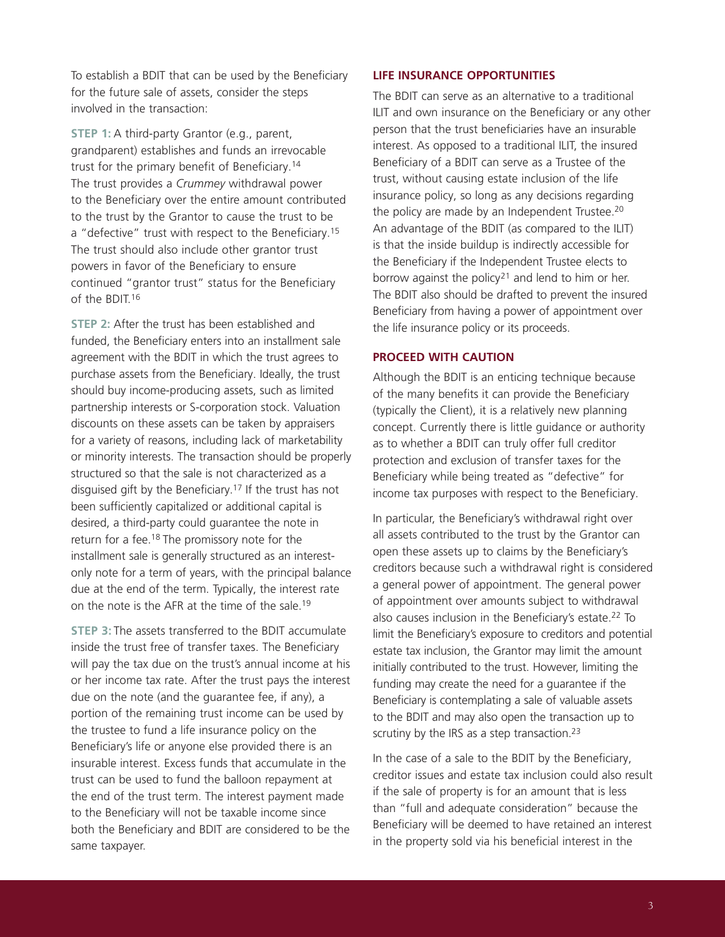To establish a BDIT that can be used by the Beneficiary for the future sale of assets, consider the steps involved in the transaction:

**STEP 1:** A third-party Grantor (e.g., parent, grandparent) establishes and funds an irrevocable trust for the primary benefit of Beneficiary. 14 The trust provides a *Crummey* withdrawal power to the Beneficiary over the entire amount contributed to the trust by the Grantor to cause the trust to be a "defective" trust with respect to the Beneficiary.<sup>15</sup> The trust should also include other grantor trust powers in favor of the Beneficiary to ensure continued "grantor trust" status for the Beneficiary of the BDIT. 16

**STEP 2:** After the trust has been established and funded, the Beneficiary enters into an installment sale agreement with the BDIT in which the trust agrees to purchase assets from the Beneficiary. Ideally, the trust should buy income-producing assets, such as limited partnership interests or S-corporation stock. Valuation discounts on these assets can be taken by appraisers for a variety of reasons, including lack of marketability or minority interests. The transaction should be properly structured so that the sale is not characterized as a disguised gift by the Beneficiary. <sup>17</sup> If the trust has not been sufficiently capitalized or additional capital is desired, a third-party could guarantee the note in return for a fee.<sup>18</sup> The promissory note for the installment sale is generally structured as an interestonly note for a term of years, with the principal balance due at the end of the term. Typically, the interest rate on the note is the AFR at the time of the sale. 19

**STEP 3:** The assets transferred to the BDIT accumulate inside the trust free of transfer taxes. The Beneficiary will pay the tax due on the trust's annual income at his or her income tax rate. After the trust pays the interest due on the note (and the guarantee fee, if any), a portion of the remaining trust income can be used by the trustee to fund a life insurance policy on the Beneficiary's life or anyone else provided there is an insurable interest. Excess funds that accumulate in the trust can be used to fund the balloon repayment at the end of the trust term. The interest payment made to the Beneficiary will not be taxable income since both the Beneficiary and BDIT are considered to be the same taxpayer.

#### **LIFE INSURANCE OPPORTUNITIES**

The BDIT can serve as an alternative to a traditional ILIT and own insurance on the Beneficiary or any other person that the trust beneficiaries have an insurable interest. As opposed to a traditional ILIT, the insured Beneficiary of a BDIT can serve as a Trustee of the trust, without causing estate inclusion of the life insurance policy, so long as any decisions regarding the policy are made by an Independent Trustee. 20 An advantage of the BDIT (as compared to the ILIT) is that the inside buildup is indirectly accessible for the Beneficiary if the Independent Trustee elects to borrow against the policy<sup>21</sup> and lend to him or her. The BDIT also should be drafted to prevent the insured Beneficiary from having a power of appointment over the life insurance policy or its proceeds.

#### **PROCEED WITH CAUTION**

Although the BDIT is an enticing technique because of the many benefits it can provide the Beneficiary (typically the Client), it is a relatively new planning concept. Currently there is little guidance or authority as to whether a BDIT can truly offer full creditor protection and exclusion of transfer taxes for the Beneficiary while being treated as "defective" for income tax purposes with respect to the Beneficiary.

In particular, the Beneficiary's withdrawal right over all assets contributed to the trust by the Grantor can open these assets up to claims by the Beneficiary's creditors because such a withdrawal right is considered a general power of appointment. The general power of appointment over amounts subject to withdrawal also causes inclusion in the Beneficiary's estate. <sup>22</sup> To limit the Beneficiary's exposure to creditors and potential estate tax inclusion, the Grantor may limit the amount initially contributed to the trust. However, limiting the funding may create the need for a guarantee if the Beneficiary is contemplating a sale of valuable assets to the BDIT and may also open the transaction up to scrutiny by the IRS as a step transaction.<sup>23</sup>

In the case of a sale to the BDIT by the Beneficiary, creditor issues and estate tax inclusion could also result if the sale of property is for an amount that is less than "full and adequate consideration" because the Beneficiary will be deemed to have retained an interest in the property sold via his beneficial interest in the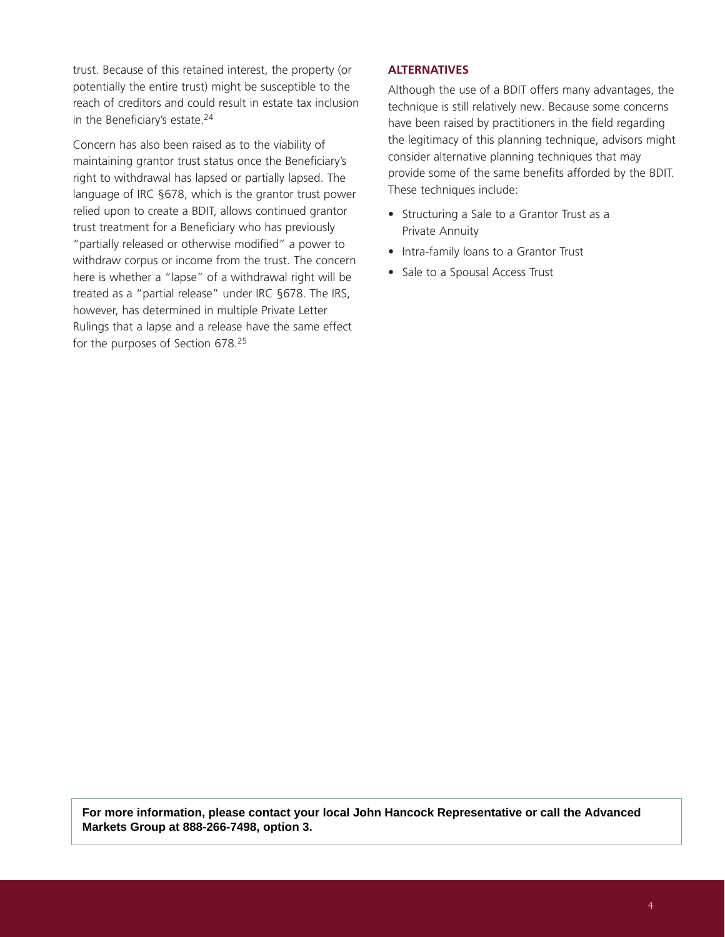trust. Because of this retained interest, the property (or potentially the entire trust) might be susceptible to the reach of creditors and could result in estate tax inclusion in the Beneficiary's estate. 24

Concern has also been raised as to the viability of maintaining grantor trust status once the Beneficiary's right to withdrawal has lapsed or partially lapsed. The language of IRC §678, which is the grantor trust power relied upon to create a BDIT, allows continued grantor trust treatment for a Beneficiary who has previously "partially released or otherwise modified" a power to withdraw corpus or income from the trust. The concern here is whether a "lapse" of a withdrawal right will be treated as a "partial release" under IRC §678. The IRS, however, has determined in multiple Private Letter Rulings that a lapse and a release have the same effect for the purposes of Section 678. 25

#### **ALTERNATIVES**

Although the use of a BDIT offers many advantages, the technique is still relatively new. Because some concerns have been raised by practitioners in the field regarding the legitimacy of this planning technique, advisors might consider alternative planning techniques that may provide some of the same benefits afforded by the BDIT. These techniques include:

- Structuring a Sale to a Grantor Trust as a Private Annuity
- Intra-family loans to a Grantor Trust
- Sale to a Spousal Access Trust

**For more information, please contact your local John Hancock Representative or call the Advanced Markets Group at 888-266-7498, option 3.**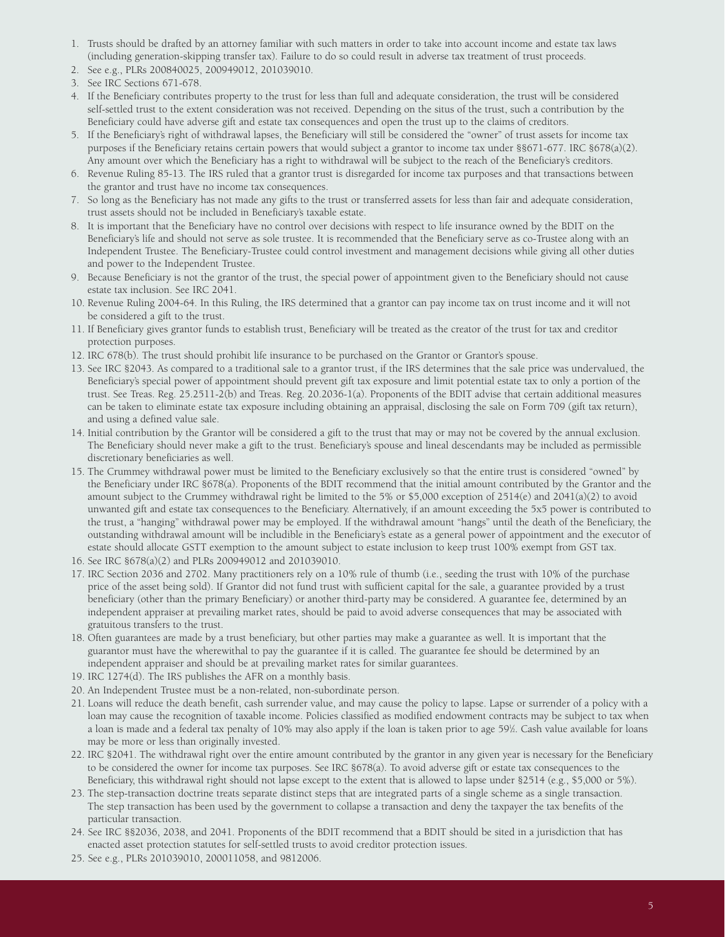- 1. Trusts should be drafted by an attorney familiar with such matters in order to take into account income and estate tax laws (including generation-skipping transfer tax). Failure to do so could result in adverse tax treatment of trust proceeds.
- 2. See e.g., PLRs 200840025, 200949012, 201039010.
- 3. See IRC Sections 671-678.
- 4. If the Beneficiary contributes property to the trust for less than full and adequate consideration, the trust will be considered self-settled trust to the extent consideration was not received. Depending on the situs of the trust, such a contribution by the Beneficiary could have adverse gift and estate tax consequences and open the trust up to the claims of creditors.
- 5. If the Beneficiary's right of withdrawal lapses, the Beneficiary will still be considered the "owner" of trust assets for income tax purposes if the Beneficiary retains certain powers that would subject a grantor to income tax under §§671-677. IRC §678(a)(2). Any amount over which the Beneficiary has a right to withdrawal will be subject to the reach of the Beneficiary's creditors.
- 6. Revenue Ruling 85-13. The IRS ruled that a grantor trust is disregarded for income tax purposes and that transactions between the grantor and trust have no income tax consequences.
- 7. So long as the Beneficiary has not made any gifts to the trust or transferred assets for less than fair and adequate consideration, trust assets should not be included in Beneficiary's taxable estate.
- 8. It is important that the Beneficiary have no control over decisions with respect to life insurance owned by the BDIT on the Beneficiary's life and should not serve as sole trustee. It is recommended that the Beneficiary serve as co-Trustee along with an Independent Trustee. The Beneficiary-Trustee could control investment and management decisions while giving all other duties and power to the Independent Trustee.
- 9. Because Beneficiary is not the grantor of the trust, the special power of appointment given to the Beneficiary should not cause estate tax inclusion. See IRC 2041.
- 10. Revenue Ruling 2004-64. In this Ruling, the IRS determined that a grantor can pay income tax on trust income and it will not be considered a gift to the trust.
- 11. If Beneficiary gives grantor funds to establish trust, Beneficiary will be treated as the creator of the trust for tax and creditor protection purposes.
- 12. IRC 678(b). The trust should prohibit life insurance to be purchased on the Grantor or Grantor's spouse.
- 13. See IRC §2043. As compared to a traditional sale to a grantor trust, if the IRS determines that the sale price was undervalued, the Beneficiary's special power of appointment should prevent gift tax exposure and limit potential estate tax to only a portion of the trust. See Treas. Reg. 25.2511-2(b) and Treas. Reg. 20.2036-1(a). Proponents of the BDIT advise that certain additional measures can be taken to eliminate estate tax exposure including obtaining an appraisal, disclosing the sale on Form 709 (gift tax return), and using a defined value sale.
- 14. Initial contribution by the Grantor will be considered a gift to the trust that may or may not be covered by the annual exclusion. The Beneficiary should never make a gift to the trust. Beneficiary's spouse and lineal descendants may be included as permissible discretionary beneficiaries as well.
- 15. The Crummey withdrawal power must be limited to the Beneficiary exclusively so that the entire trust is considered "owned" by the Beneficiary under IRC §678(a). Proponents of the BDIT recommend that the initial amount contributed by the Grantor and the amount subject to the Crummey withdrawal right be limited to the 5% or \$5,000 exception of  $2514(e)$  and  $2041(a)(2)$  to avoid unwanted gift and estate tax consequences to the Beneficiary. Alternatively, if an amount exceeding the 5x5 power is contributed to the trust, a "hanging" withdrawal power may be employed. If the withdrawal amount "hangs" until the death of the Beneficiary, the outstanding withdrawal amount will be includible in the Beneficiary's estate as a general power of appointment and the executor of estate should allocate GSTT exemption to the amount subject to estate inclusion to keep trust 100% exempt from GST tax.
- 16. See IRC §678(a)(2) and PLRs 200949012 and 201039010.
- 17. IRC Section 2036 and 2702. Many practitioners rely on a 10% rule of thumb (i.e., seeding the trust with 10% of the purchase price of the asset being sold). If Grantor did not fund trust with sufficient capital for the sale, a guarantee provided by a trust beneficiary (other than the primary Beneficiary) or another third-party may be considered. A guarantee fee, determined by an independent appraiser at prevailing market rates, should be paid to avoid adverse consequences that may be associated with gratuitous transfers to the trust.
- 18. Often guarantees are made by a trust beneficiary, but other parties may make a guarantee as well. It is important that the guarantor must have the wherewithal to pay the guarantee if it is called. The guarantee fee should be determined by an independent appraiser and should be at prevailing market rates for similar guarantees.
- 19. IRC 1274(d). The IRS publishes the AFR on a monthly basis.
- 20. An Independent Trustee must be a non-related, non-subordinate person.
- 21. Loans will reduce the death benefit, cash surrender value, and may cause the policy to lapse. Lapse or surrender of a policy with a loan may cause the recognition of taxable income. Policies classified as modified endowment contracts may be subject to tax when a loan is made and a federal tax penalty of 10% may also apply if the loan is taken prior to age 59½. Cash value available for loans may be more or less than originally invested.
- 22. IRC §2041. The withdrawal right over the entire amount contributed by the grantor in any given year is necessary for the Beneficiary to be considered the owner for income tax purposes. See IRC §678(a). To avoid adverse gift or estate tax consequences to the Beneficiary, this withdrawal right should not lapse except to the extent that is allowed to lapse under §2514 (e.g., \$5,000 or 5%).
- 23. The step-transaction doctrine treats separate distinct steps that are integrated parts of a single scheme as a single transaction. The step transaction has been used by the government to collapse a transaction and deny the taxpayer the tax benefits of the particular transaction.
- 24. See IRC §§2036, 2038, and 2041. Proponents of the BDIT recommend that a BDIT should be sited in a jurisdiction that has enacted asset protection statutes for self-settled trusts to avoid creditor protection issues.
- 25. See e.g., PLRs 201039010, 200011058, and 9812006.